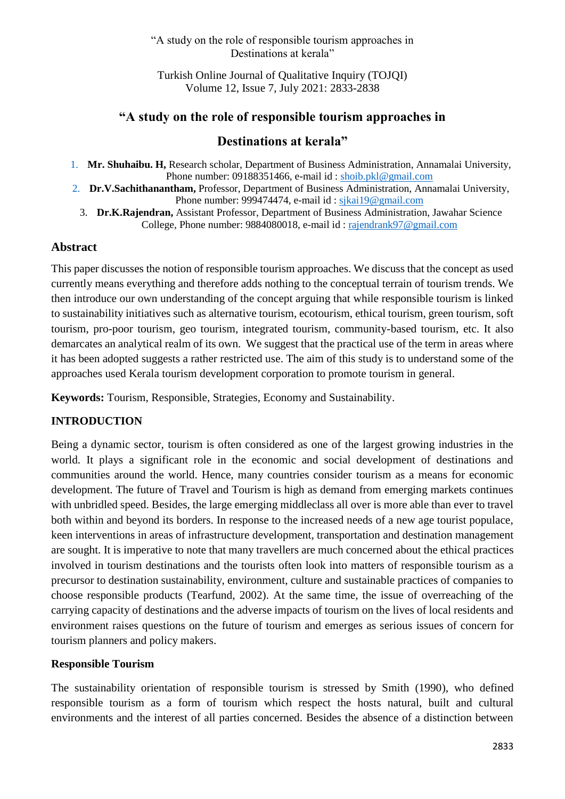#### "A study on the role of responsible tourism approaches in Destinations at kerala"

Turkish Online Journal of Qualitative Inquiry (TOJQI) Volume 12, Issue 7, July 2021: 2833-2838

# **"A study on the role of responsible tourism approaches in**

# **Destinations at kerala"**

- 1. **Mr. Shuhaibu. H,** Research scholar, Department of Business Administration, Annamalai University, Phone number: 09188351466, e-mail id [: shoib.pkl@gmail.com](mailto:shoib.pkl@gmail.com)
- 2. **Dr.V.Sachithanantham,** Professor, Department of Business Administration, Annamalai University, Phone number: 999474474, e-mail id : [sjkai19@gmail.com](mailto:sjkai19@gmail.com)
	- 3. **Dr.K.Rajendran,** Assistant Professor, Department of Business Administration, Jawahar Science College, Phone number: 9884080018, e-mail id : [rajendrank97@gmail.com](mailto:rajendrank97@gmail.com)

### **Abstract**

This paper discusses the notion of responsible tourism approaches. We discuss that the concept as used currently means everything and therefore adds nothing to the conceptual terrain of tourism trends. We then introduce our own understanding of the concept arguing that while responsible tourism is linked to sustainability initiatives such as alternative tourism, ecotourism, ethical tourism, green tourism, soft tourism, pro-poor tourism, geo tourism, integrated tourism, community-based tourism, etc. It also demarcates an analytical realm of its own. We suggest that the practical use of the term in areas where it has been adopted suggests a rather restricted use. The aim of this study is to understand some of the approaches used Kerala tourism development corporation to promote tourism in general.

**Keywords:** Tourism, Responsible, Strategies, Economy and Sustainability.

#### **INTRODUCTION**

Being a dynamic sector, tourism is often considered as one of the largest growing industries in the world. It plays a significant role in the economic and social development of destinations and communities around the world. Hence, many countries consider tourism as a means for economic development. The future of Travel and Tourism is high as demand from emerging markets continues with unbridled speed. Besides, the large emerging middleclass all over is more able than ever to travel both within and beyond its borders. In response to the increased needs of a new age tourist populace, keen interventions in areas of infrastructure development, transportation and destination management are sought. It is imperative to note that many travellers are much concerned about the ethical practices involved in tourism destinations and the tourists often look into matters of responsible tourism as a precursor to destination sustainability, environment, culture and sustainable practices of companies to choose responsible products (Tearfund, 2002). At the same time, the issue of overreaching of the carrying capacity of destinations and the adverse impacts of tourism on the lives of local residents and environment raises questions on the future of tourism and emerges as serious issues of concern for tourism planners and policy makers.

#### **Responsible Tourism**

The sustainability orientation of responsible tourism is stressed by Smith (1990), who defined responsible tourism as a form of tourism which respect the hosts natural, built and cultural environments and the interest of all parties concerned. Besides the absence of a distinction between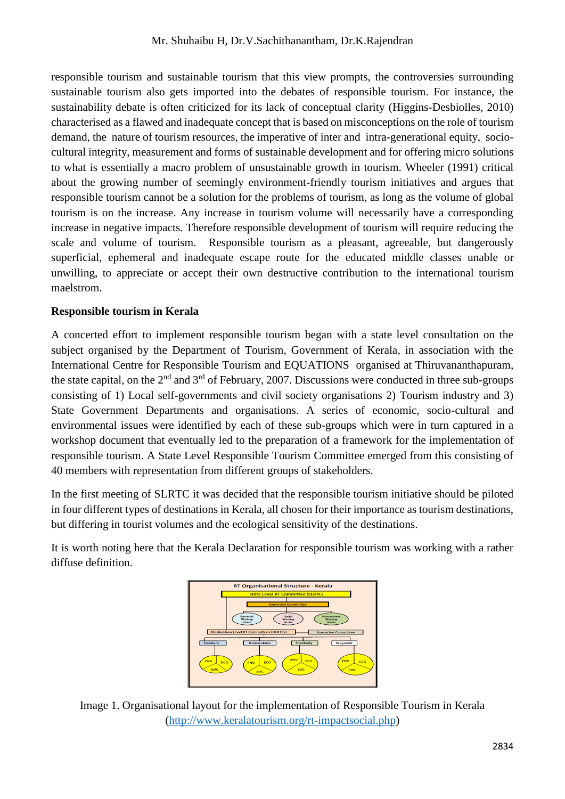responsible tourism and sustainable tourism that this view prompts, the controversies surrounding sustainable tourism also gets imported into the debates of responsible tourism. For instance, the sustainability debate is often criticized for its lack of conceptual clarity (Higgins-Desbiolles, 2010) characterised as a flawed and inadequate concept that is based on misconceptions on the role of tourism demand, the nature of tourism resources, the imperative of inter and intra-generational equity, sociocultural integrity, measurement and forms of sustainable development and for offering micro solutions to what is essentially a macro problem of unsustainable growth in tourism. Wheeler (1991) critical about the growing number of seemingly environment-friendly tourism initiatives and argues that responsible tourism cannot be a solution for the problems of tourism, as long as the volume of global tourism is on the increase. Any increase in tourism volume will necessarily have a corresponding increase in negative impacts. Therefore responsible development of tourism will require reducing the scale and volume of tourism. Responsible tourism as a pleasant, agreeable, but dangerously superficial, ephemeral and inadequate escape route for the educated middle classes unable or unwilling, to appreciate or accept their own destructive contribution to the international tourism maelstrom.

## **Responsible tourism in Kerala**

A concerted effort to implement responsible tourism began with a state level consultation on the subject organised by the Department of Tourism, Government of Kerala, in association with the International Centre for Responsible Tourism and EQUATIONS organised at Thiruvananthapuram, the state capital, on the  $2<sup>nd</sup>$  and  $3<sup>rd</sup>$  of February, 2007. Discussions were conducted in three sub-groups consisting of 1) Local self-governments and civil society organisations 2) Tourism industry and 3) State Government Departments and organisations. A series of economic, socio-cultural and environmental issues were identified by each of these sub-groups which were in turn captured in a workshop document that eventually led to the preparation of a framework for the implementation of responsible tourism. A State Level Responsible Tourism Committee emerged from this consisting of 40 members with representation from different groups of stakeholders.

In the first meeting of SLRTC it was decided that the responsible tourism initiative should be piloted in four different types of destinations in Kerala, all chosen for their importance as tourism destinations, but differing in tourist volumes and the ecological sensitivity of the destinations.

It is worth noting here that the Kerala Declaration for responsible tourism was working with a rather diffuse definition.



Image 1. Organisational layout for the implementation of Responsible Tourism in Kerala [\(http://www.keralatourism.org/rt-impactsocial.php\)](http://www.keralatourism.org/rt-impactsocial.php)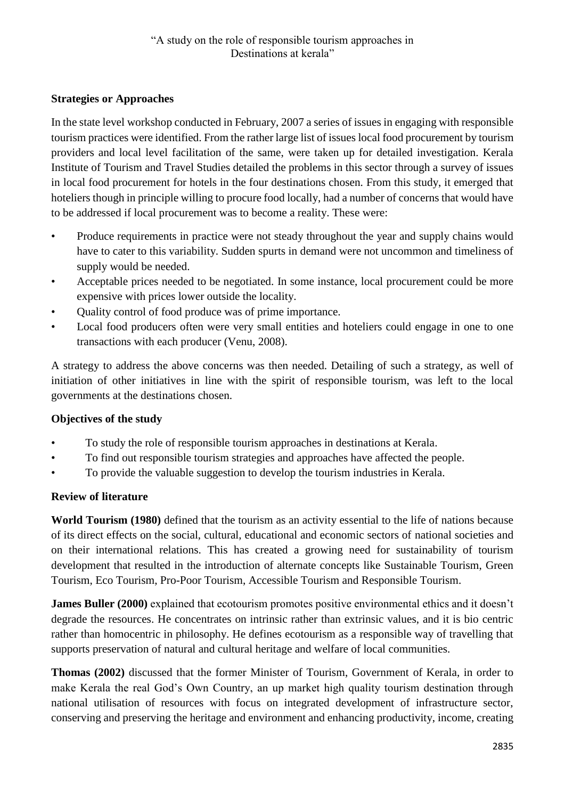# **Strategies or Approaches**

In the state level workshop conducted in February, 2007 a series of issues in engaging with responsible tourism practices were identified. From the rather large list of issues local food procurement by tourism providers and local level facilitation of the same, were taken up for detailed investigation. Kerala Institute of Tourism and Travel Studies detailed the problems in this sector through a survey of issues in local food procurement for hotels in the four destinations chosen. From this study, it emerged that hoteliers though in principle willing to procure food locally, had a number of concerns that would have to be addressed if local procurement was to become a reality. These were:

- Produce requirements in practice were not steady throughout the year and supply chains would have to cater to this variability. Sudden spurts in demand were not uncommon and timeliness of supply would be needed.
- Acceptable prices needed to be negotiated. In some instance, local procurement could be more expensive with prices lower outside the locality.
- Quality control of food produce was of prime importance.
- Local food producers often were very small entities and hoteliers could engage in one to one transactions with each producer (Venu, 2008).

A strategy to address the above concerns was then needed. Detailing of such a strategy, as well of initiation of other initiatives in line with the spirit of responsible tourism, was left to the local governments at the destinations chosen.

## **Objectives of the study**

- To study the role of responsible tourism approaches in destinations at Kerala.
- To find out responsible tourism strategies and approaches have affected the people.
- To provide the valuable suggestion to develop the tourism industries in Kerala.

## **Review of literature**

**World Tourism (1980)** defined that the tourism as an activity essential to the life of nations because of its direct effects on the social, cultural, educational and economic sectors of national societies and on their international relations. This has created a growing need for sustainability of tourism development that resulted in the introduction of alternate concepts like Sustainable Tourism, Green Tourism, Eco Tourism, Pro-Poor Tourism, Accessible Tourism and Responsible Tourism.

**James Buller (2000)** explained that ecotourism promotes positive environmental ethics and it doesn't degrade the resources. He concentrates on intrinsic rather than extrinsic values, and it is bio centric rather than homocentric in philosophy. He defines ecotourism as a responsible way of travelling that supports preservation of natural and cultural heritage and welfare of local communities.

**Thomas (2002)** discussed that the former Minister of Tourism, Government of Kerala, in order to make Kerala the real God's Own Country, an up market high quality tourism destination through national utilisation of resources with focus on integrated development of infrastructure sector, conserving and preserving the heritage and environment and enhancing productivity, income, creating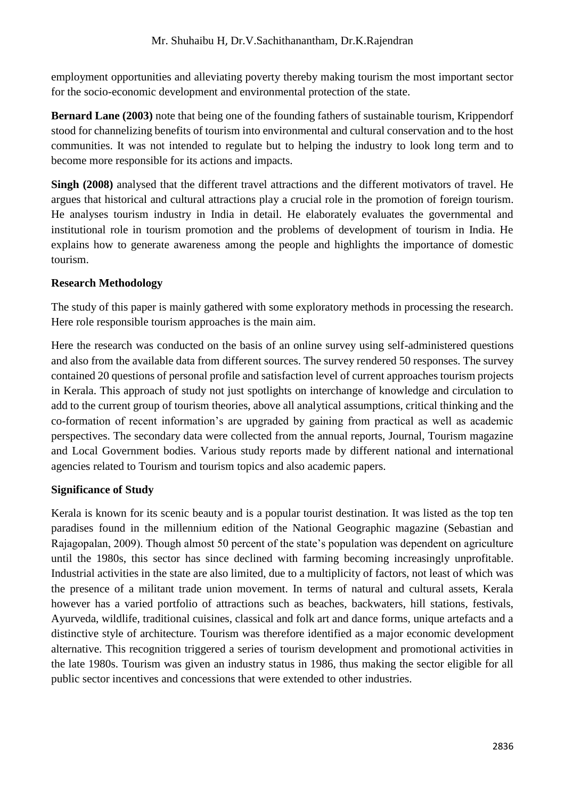employment opportunities and alleviating poverty thereby making tourism the most important sector for the socio-economic development and environmental protection of the state.

**Bernard Lane (2003)** note that being one of the founding fathers of sustainable tourism, Krippendorf stood for channelizing benefits of tourism into environmental and cultural conservation and to the host communities. It was not intended to regulate but to helping the industry to look long term and to become more responsible for its actions and impacts.

**Singh (2008)** analysed that the different travel attractions and the different motivators of travel. He argues that historical and cultural attractions play a crucial role in the promotion of foreign tourism. He analyses tourism industry in India in detail. He elaborately evaluates the governmental and institutional role in tourism promotion and the problems of development of tourism in India. He explains how to generate awareness among the people and highlights the importance of domestic tourism.

## **Research Methodology**

The study of this paper is mainly gathered with some exploratory methods in processing the research. Here role responsible tourism approaches is the main aim.

Here the research was conducted on the basis of an online survey using self-administered questions and also from the available data from different sources. The survey rendered 50 responses. The survey contained 20 questions of personal profile and satisfaction level of current approaches tourism projects in Kerala. This approach of study not just spotlights on interchange of knowledge and circulation to add to the current group of tourism theories, above all analytical assumptions, critical thinking and the co-formation of recent information's are upgraded by gaining from practical as well as academic perspectives. The secondary data were collected from the annual reports, Journal, Tourism magazine and Local Government bodies. Various study reports made by different national and international agencies related to Tourism and tourism topics and also academic papers.

#### **Significance of Study**

Kerala is known for its scenic beauty and is a popular tourist destination. It was listed as the top ten paradises found in the millennium edition of the National Geographic magazine (Sebastian and Rajagopalan, 2009). Though almost 50 percent of the state's population was dependent on agriculture until the 1980s, this sector has since declined with farming becoming increasingly unprofitable. Industrial activities in the state are also limited, due to a multiplicity of factors, not least of which was the presence of a militant trade union movement. In terms of natural and cultural assets, Kerala however has a varied portfolio of attractions such as beaches, backwaters, hill stations, festivals, Ayurveda, wildlife, traditional cuisines, classical and folk art and dance forms, unique artefacts and a distinctive style of architecture. Tourism was therefore identified as a major economic development alternative. This recognition triggered a series of tourism development and promotional activities in the late 1980s. Tourism was given an industry status in 1986, thus making the sector eligible for all public sector incentives and concessions that were extended to other industries.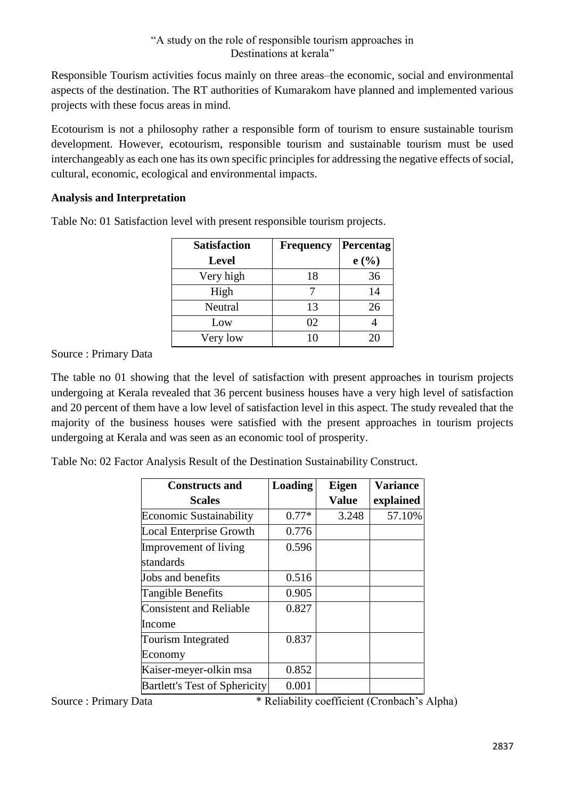Responsible Tourism activities focus mainly on three areas–the economic, social and environmental aspects of the destination. The RT authorities of Kumarakom have planned and implemented various projects with these focus areas in mind.

Ecotourism is not a philosophy rather a responsible form of tourism to ensure sustainable tourism development. However, ecotourism, responsible tourism and sustainable tourism must be used interchangeably as each one has its own specific principles for addressing the negative effects of social, cultural, economic, ecological and environmental impacts.

## **Analysis and Interpretation**

| <b>Satisfaction</b> | <b>Frequency</b> | Percentag |
|---------------------|------------------|-----------|
| <b>Level</b>        |                  | e(%)      |
| Very high           | 18               | 36        |
| High                |                  | 14        |
| Neutral             | 13               | 26        |
| Low                 | 02               |           |
| Very low            | 10               | 20        |

Table No: 01 Satisfaction level with present responsible tourism projects.

Source : Primary Data

The table no 01 showing that the level of satisfaction with present approaches in tourism projects undergoing at Kerala revealed that 36 percent business houses have a very high level of satisfaction and 20 percent of them have a low level of satisfaction level in this aspect. The study revealed that the majority of the business houses were satisfied with the present approaches in tourism projects undergoing at Kerala and was seen as an economic tool of prosperity.

Table No: 02 Factor Analysis Result of the Destination Sustainability Construct.

| <b>Constructs and</b>                | <b>Loading</b> | <b>Eigen</b> | <b>Variance</b> |
|--------------------------------------|----------------|--------------|-----------------|
| <b>Scales</b>                        |                | <b>Value</b> | explained       |
| <b>Economic Sustainability</b>       | $0.77*$        | 3.248        | 57.10%          |
| <b>Local Enterprise Growth</b>       | 0.776          |              |                 |
| Improvement of living                | 0.596          |              |                 |
| standards                            |                |              |                 |
| Jobs and benefits                    | 0.516          |              |                 |
| Tangible Benefits                    | 0.905          |              |                 |
| <b>Consistent and Reliable</b>       | 0.827          |              |                 |
| Income                               |                |              |                 |
| <b>Tourism Integrated</b>            | 0.837          |              |                 |
| Economy                              |                |              |                 |
| Kaiser-meyer-olkin msa               | 0.852          |              |                 |
| <b>Bartlett's Test of Sphericity</b> | 0.001          |              |                 |

Source : Primary Data \* Reliability coefficient (Cronbach's Alpha)